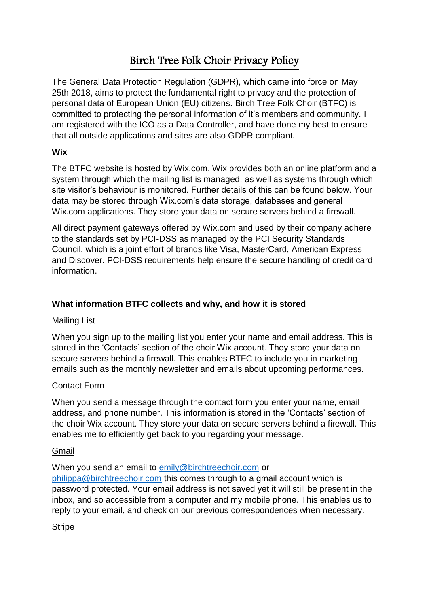# Birch Tree Folk Choir Privacy Policy

The General Data Protection Regulation (GDPR), which came into force on May 25th 2018, aims to protect the fundamental right to privacy and the protection of personal data of European Union (EU) citizens. Birch Tree Folk Choir (BTFC) is committed to protecting the personal information of it's members and community. I am registered with the ICO as a Data Controller, and have done my best to ensure that all outside applications and sites are also GDPR compliant.

## **Wix**

The BTFC website is hosted by Wix.com. Wix provides both an online platform and a system through which the mailing list is managed, as well as systems through which site visitor's behaviour is monitored. Further details of this can be found below. Your data may be stored through Wix.com's data storage, databases and general Wix.com applications. They store your data on secure servers behind a firewall.

All direct payment gateways offered by Wix.com and used by their company adhere to the standards set by PCI-DSS as managed by the PCI Security Standards Council, which is a joint effort of brands like Visa, MasterCard, American Express and Discover. PCI-DSS requirements help ensure the secure handling of credit card information.

# **What information BTFC collects and why, and how it is stored**

## Mailing List

When you sign up to the mailing list you enter your name and email address. This is stored in the 'Contacts' section of the choir Wix account. They store your data on secure servers behind a firewall. This enables BTFC to include you in marketing emails such as the monthly newsletter and emails about upcoming performances.

## Contact Form

When you send a message through the contact form you enter your name, email address, and phone number. This information is stored in the 'Contacts' section of the choir Wix account. They store your data on secure servers behind a firewall. This enables me to efficiently get back to you regarding your message.

## Gmail

#### When you send an email to [emily@birchtreechoir.com](mailto:emily@birchtreechoir.com) or

[philippa@birchtreechoir.com](mailto:philippa@birchtreechoir.com) this comes through to a gmail account which is password protected. Your email address is not saved yet it will still be present in the inbox, and so accessible from a computer and my mobile phone. This enables us to reply to your email, and check on our previous correspondences when necessary.

## **Stripe**